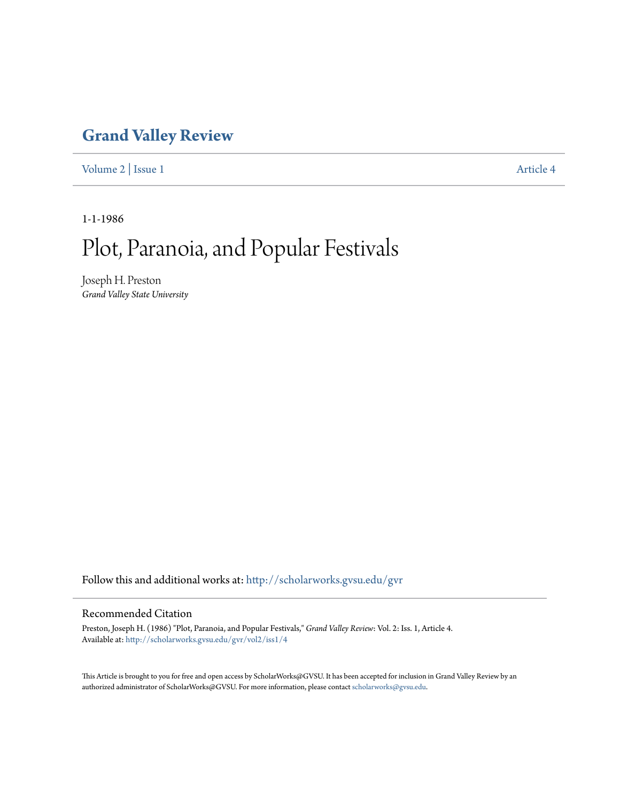## **[Grand Valley Review](http://scholarworks.gvsu.edu/gvr?utm_source=scholarworks.gvsu.edu%2Fgvr%2Fvol2%2Fiss1%2F4&utm_medium=PDF&utm_campaign=PDFCoverPages)**

[Volume 2](http://scholarworks.gvsu.edu/gvr/vol2?utm_source=scholarworks.gvsu.edu%2Fgvr%2Fvol2%2Fiss1%2F4&utm_medium=PDF&utm_campaign=PDFCoverPages) | [Issue 1](http://scholarworks.gvsu.edu/gvr/vol2/iss1?utm_source=scholarworks.gvsu.edu%2Fgvr%2Fvol2%2Fiss1%2F4&utm_medium=PDF&utm_campaign=PDFCoverPages) [Article 4](http://scholarworks.gvsu.edu/gvr/vol2/iss1/4?utm_source=scholarworks.gvsu.edu%2Fgvr%2Fvol2%2Fiss1%2F4&utm_medium=PDF&utm_campaign=PDFCoverPages)

1-1-1986

## Plot, Paranoia, and Popular Festivals

Joseph H. Preston *Grand Valley State University*

Follow this and additional works at: [http://scholarworks.gvsu.edu/gvr](http://scholarworks.gvsu.edu/gvr?utm_source=scholarworks.gvsu.edu%2Fgvr%2Fvol2%2Fiss1%2F4&utm_medium=PDF&utm_campaign=PDFCoverPages)

## Recommended Citation

Preston, Joseph H. (1986) "Plot, Paranoia, and Popular Festivals," *Grand Valley Review*: Vol. 2: Iss. 1, Article 4. Available at: [http://scholarworks.gvsu.edu/gvr/vol2/iss1/4](http://scholarworks.gvsu.edu/gvr/vol2/iss1/4?utm_source=scholarworks.gvsu.edu%2Fgvr%2Fvol2%2Fiss1%2F4&utm_medium=PDF&utm_campaign=PDFCoverPages)

This Article is brought to you for free and open access by ScholarWorks@GVSU. It has been accepted for inclusion in Grand Valley Review by an authorized administrator of ScholarWorks@GVSU. For more information, please contact [scholarworks@gvsu.edu.](mailto:scholarworks@gvsu.edu)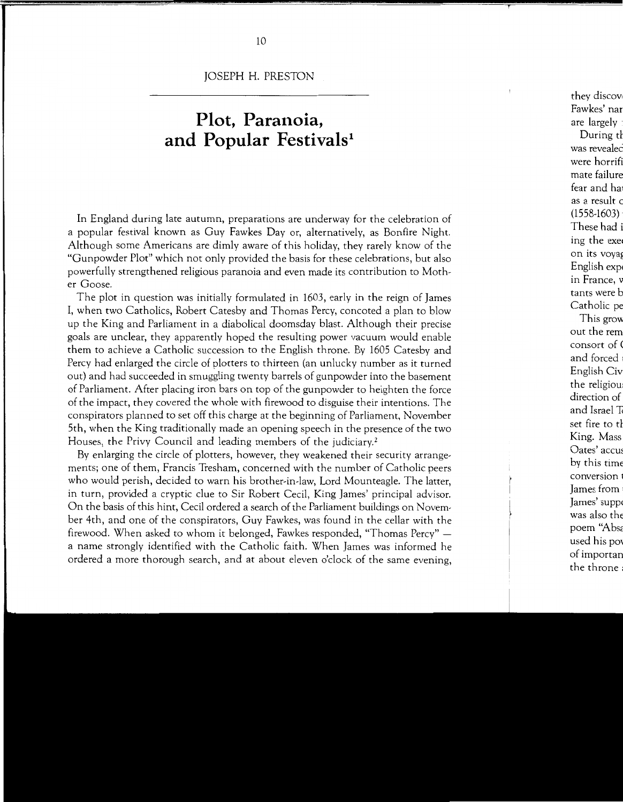JOSEPH H. PRESTON

## **Plot, Paranoia,**  and Popular Festivals<sup>1</sup>

In England during late autumn, preparations are underway for the celebration of a popular festival known as Guy Fawkes Day or, alternatively, as Bonfire Night. Although some Americans are dimly aware of this holiday, they rarely know of the "Gunpowder Plot" which not only provided the basis for these celebrations, but also powerfully strengthened religious paranoia and even made its contribution to Mother Goose.

The plot in question was initially formulated in 1603, early in the reign of James I, when two Catholics, Robert Catesby and Thomas Percy, concoted a plan to blow up the King and Parliament in a diabolical doomsday blast. Although their precise goals are unclear, they apparently hoped the resulting power vacuum would enable them to achieve a Catholic succession to the English throne. By 1605 Catesby and Percy had enlarged the circle of plotters to thirteen (an unlucky number as it turned out) and had succeeded in smuggling twenty barrels of gunpowder into the basement of Parliament. After placing iron bars on top of the gunpowder to heighten the force of the impact, they covered the whole with firewood to disguise their intentions. The conspirators planned to set off this charge at the beginning of Parliament, November 5th, when the King traditionally made an opening speech in the presence of the two Houses, the Privy Council and leading members of the judiciary.<sup>2</sup>

By enlarging the circle of plotters, however, they weakened their security arrangements; one of them, Francis Tresham, concerned with the number of Catholic peers who would perish, decided to warn his brother-in-law, Lord Mounteagle. The latter, in turn, provided a cryptic clue to Sir Robert Cecil, King James' principal advisor. On the basis of this hint, Cecil ordered a search of the Parliament buildings on November 4th, and one of the conspirators, Guy Fawkes, was found in the cellar with the firewood. When asked to whom it belonged, Fawkes responded, "Thomas Percy" a name strongly identified with the Catholic faith. When James was informed he ordered a more thorough search, and at about eleven o'clock of the same evening,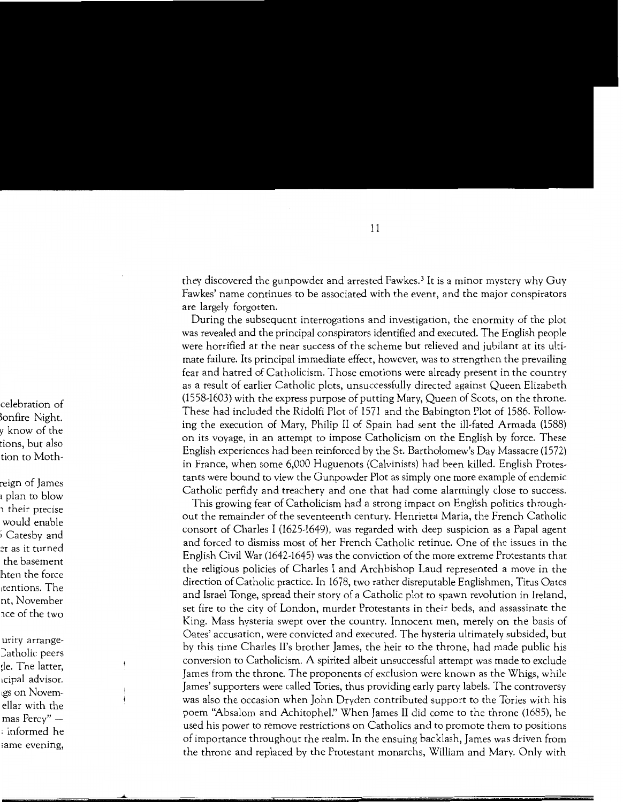they discovered the gunpowder and arrested Fawkes. 3 It is a minor mystery why Guy Fawkes' name continues to be associated with the event, and the major conspirators are largely forgotten.

During the subsequent interrogations and investigation, the enormity of the plot was revealed and the principal conspirators identified and executed. The English people were horrified at the near success of the scheme but relieved and jubilant at its ultimate failure. Its principal immediate effect, however, was to strengthen the prevailing fear and hatred of Catholicism. Those emotions were already present in the country as a result of earlier Catholic plots, unsuccessfully directed against Queen Elizabeth (1558-1603) with the express purpose of putting Mary, Queen of Scots, on the throne. These had included the Ridolfi Plot of 1571 and the Babington Plot of 1586. Following the execution of Mary, Philip II of Spain had sent the ill-fated Armada (1588) on its voyage, in an attempt to impose Catholicism on the English by force. These English experiences had been reinforced by the St. Bartholomew's Day Massacre (1572) in France, when some 6,000 Huguenots (Calvinists) had been killed. English Protestants were bound to view the Gunpowder Plot as simply one more example of endemic Catholic perfidy and treachery and one that had come alarmingly close to success.

This growing fear of Catholicism had a strong impact on English politics throughout the remainder of the seventeenth century. Henrietta Maria, the French Catholic consort of Charles I (1625-1649), was regarded with deep suspicion as a Papal agent and forced to dismiss most of her French Catholic retinue. One of the issues in the English Civil War (1642-1645) was the conviction of the more extreme Protestants that the religious policies of Charles I and Archbishop Laud represented a move in the direction of Catholic practice. In 1678, two rather disreputable Englishmen, Titus Oates and Israel Tonge, spread their story of a Catholic plot to spawn revolution in Ireland, set fire to the city of London, murder Protestants in their beds, and assassinate the King. Mass hysteria swept over the country. Innocent men, merely on the basis of Oates' accusation, were convicted and executed. The hysteria ultimately subsided, but by this time Charles II's brother James, the heir to the throne, had made public his conversion to Catholicism. A spirited albeit unsuccessful attempt was made to exclude James from the throne. The proponents of exclusion were known as the Whigs, while James' supporters were called Tories, thus providing early party labels. The controversy was also the occasion when John Dryden contributed support to the Tories with his poem "Absalom and Achitophel:' When James II did come to the throne (1685), he used his power to remove restrictions on Catholics and to promote them to positions of importance throughout the realm. In the ensuing backlash, James was driven from the throne and replaced by the Protestant monarchs, William and Mary. Only with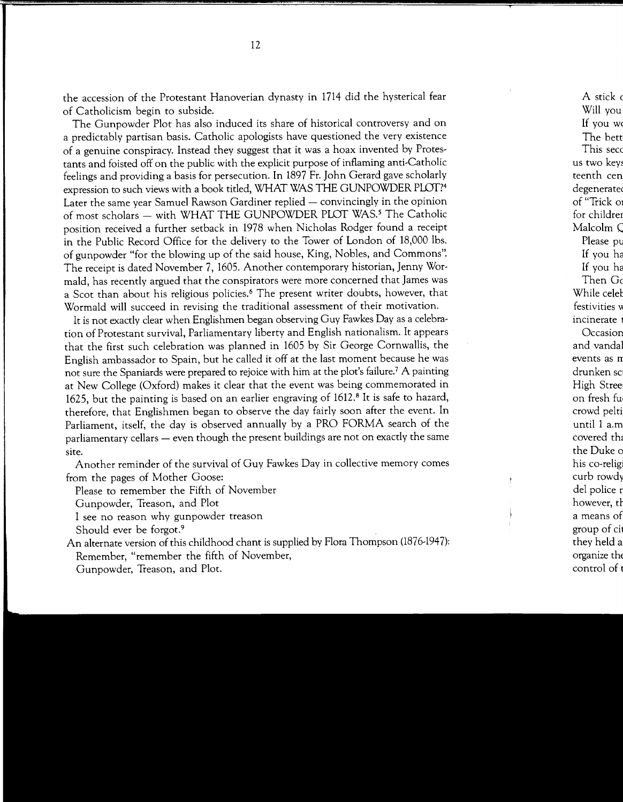the accession of the Protestant Hanoverian dynasty in 1714 did the hysterical fear of Catholicism begin to subside.

The Gunpowder Plot has also induced its share of historical controversy and on a predictably partisan basis. Catholic apologists have questioned the very existence of a genuine conspiracy. Instead they suggest that it was a hoax invented by Protestants and foisted off on the public with the explicit purpose of inflaming anti-Catholic feelings and providing a basis for persecution. In 1897 Fr. John Gerard gave scholarly expression to such views with a book titled, WHAT WAS THE GUNPOWDER PLOT?4 Later the same year Samuel Rawson Gardiner replied  $-$  convincingly in the opinion of most scholars - with WHAT THE GUNPOWDER PLOT WAS.<sup>5</sup> The Catholic position received a further setback in 1978 when Nicholas Rodger found a receipt in the Public Record Office for the delivery to the Tower of London of 18,000 lbs. of gunpowder "for the blowing up of the said house, King, Nobles, and Commons". The receipt is dated November 7, 1605. Another contemporary historian, Jenny Wormald, has recently argued that the conspirators were more concerned that James was a Scot than about his religious policies.6 The present writer doubts, however, that Wormald will succeed in revising the traditional assessment of their motivation.

It is not exactly clear when Englishmen began observing Guy Fawkes Day as a celebration of Protestant survival, Parliamentary liberty and English nationalism. It appears that the first such celebration was planned in 1605 by Sir George Cornwallis, the English ambassador to Spain, but he called it off at the last moment because he was not sure the Spaniards were prepared to rejoice with him at the plot's failure.7 A painting at New College (Oxford) makes it clear that the event was being commemorated in 1625, but the painting is based on an earlier engraving of 1612.8 It is safe to hazard, therefore, that Englishmen began to observe the day fairly soon after the event. In Parliament, itself, the day is observed annually by a PRO FORMA search of the parliamentary cellars - even though the present buildings are not on exactly the same site.

Another reminder of the survival of Guy Fawkes Day in collective memory comes from the pages of Mother Goose:

Please to remember the Fifth of November

Gunpowder, Treason, and Plot

I see no reason why gunpowder treason

Should ever be forgot.<sup>9</sup>

An alternate version of this childhood chant is supplied by Flora Thompson (1876-1947): Remember, "remember the fifth of November, Gunpowder, Treason, and Plot.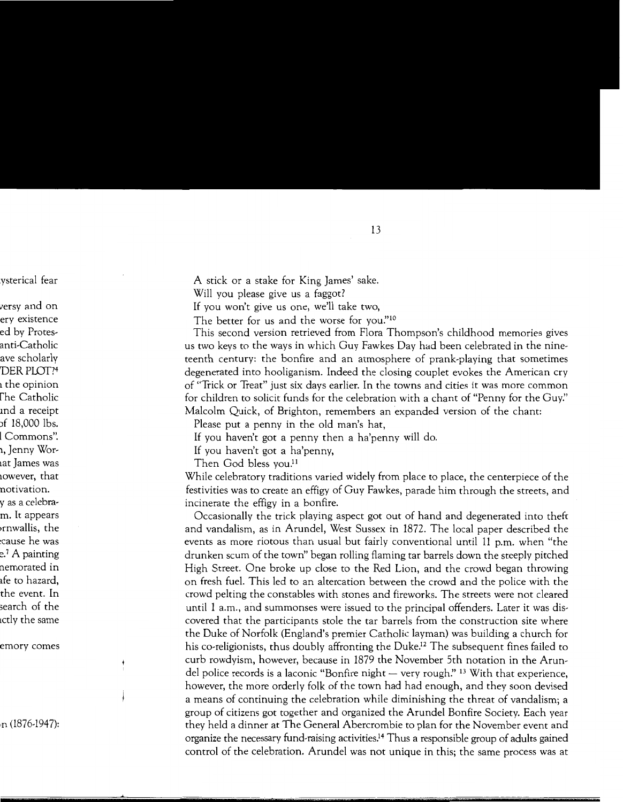A stick or a stake for King James' sake.

Will you please give us a faggot?

If you won't give us one, we'll take two,

The better for us and the worse for you."<sup>10</sup>

This second version retrieved from Flora Thompson's childhood memories gives us two keys to the ways in which Guy Fawkes Day had been celebrated in the nineteenth century: the bonfire and an atmosphere of prank-playing that sometimes degenerated into hooliganism. Indeed the closing couplet evokes the American cry of "Trick or Treat" just six days earlier. In the towns and cities it was more common for children to solicit funds for the celebration with a chant of "Penny for the *Guy:'*  Malcolm Quick, of Brighton, remembers an expanded version of the chant:

Please put a penny in the old man's hat,

If you haven't got a penny then a ha'penny will do.

If you haven't got a ha'penny,

Then God bless you.<sup>11</sup>

While celebratory traditions varied widely from place to place, the centerpiece of the festivities was to create an effigy of Guy Fawkes, parade him through the streets, and incinerate the effigy in a bonfire.

Occasionally the trick playing aspect got out of hand and degenerated into theft and vandalism, as in Arundel, West Sussex in 1872. The local paper described the events as more riotous than usual but fairly conventional until 11 p.m. when "the drunken scum of the town'' began rolling flaming tar barrels down the steeply pitched High Street. One broke up close to the Red Lion, and the crowd began throwing on fresh fuel. This led to an altercation between the crowd and the police with the crowd pelting the constables with stones and fireworks. The streets were not cleared until 1 a.m., and summonses were issued to the principal offenders. Later it was discovered that the participants stole the tar barrels from the construction site where the Duke of Norfolk (England's premier Catholic layman) was building a church for his co-religionists, thus doubly affronting the Duke.<sup>12</sup> The subsequent fines failed to curb rowdyism, however, because in 1879 the November 5th notation in the Arundel police records is a laconic "Bonfire night  $-$  very rough." <sup>13</sup> With that experience, however, the more orderly folk of the town had had enough, and they soon devised a means of continuing the celebration while diminishing the threat of vandalism; a group of citizens got together and organized the Arundel Bonfire Society. Each year they held a dinner at The General Abercrombie to plan for the November event and organize the necessary fund-raising activities.14 Thus a responsible group of adults gained control of the celebration. Arundel was not unique in this; the same process was at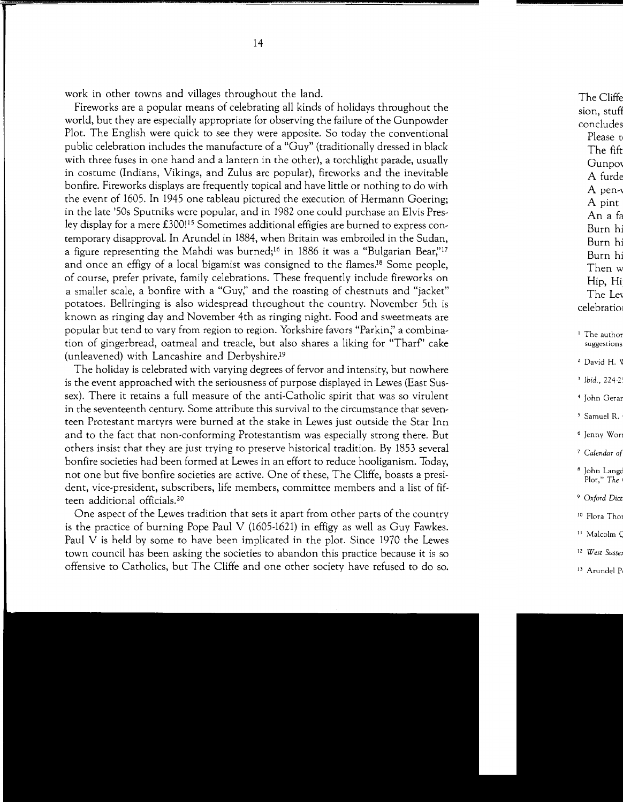work in other towns and villages throughout the land.

Fireworks are a popular means of celebrating all kinds of holidays throughout the world, but they are especially appropriate for observing the failure of the Gunpowder Plot. The English were quick to see they were apposite. So today the conventional public celebration includes the manufacture of a "Guy" (traditionally dressed in black with three fuses in one hand and a lantern in the other), a torchlight parade, usually in costume (Indians, Vikings, and Zulus are popular), fireworks and the inevitable bonfire. Fireworks displays are frequently topical and have little or nothing to do with the event of 1605. In 1945 one tableau pictured the execution of Hermann Goering; in the late '50s Sputniks were popular, and in 1982 one could purchase an Elvis Presley display for a mere  $\pounds 300$ !<sup>15</sup> Sometimes additional effigies are burned to express contemporary disapproval. In Arundel in 1884, when Britain was embroiled in the Sudan, a figure representing the Mahdi was burned;<sup>16</sup> in 1886 it was a "Bulgarian Bear,"<sup>17</sup> and once an effigy of a local bigamist was consigned to the flames.18 Some people, of course, prefer private, family celebrations. These frequently include fireworks on a smaller scale, a bonfire with a "Guy;' and the roasting of chestnuts and "jacket" potatoes. Bellringing is also widespread throughout the country. November 5th is known as ringing day and November 4th as ringing night. Food and sweetmeats are popular but tend to vary from region to region. Yorkshire favors "Parkin;' a combination of gingerbread, oatmeal and treacle, but also shares a liking for "Tharf'' cake (unleavened) with Lancashire and Derbyshire.'9

The holiday is celebrated with varying degrees of fervor and intensity, but nowhere is the event approached with the seriousness of purpose displayed in Lewes (East Sussex). There it retains a full measure of the anti-Catholic spirit that was so virulent in the seventeenth century. Some attribute this survival to the circumstance that seventeen Protestant martyrs were burned at the stake in Lewes just outside the Star Inn and to the fact that non-conforming Protestantism was especially strong there. But others insist that they are just trying to preserve historical tradition. By 1853 several bonfire societies had been formed at Lewes in an effort to reduce hooliganism. Today, not one but five bonfire societies are active. One of these, The Cliffe, boasts a president, vice-president, subscribers, life members, committee members and a list of fifteen additional officials.<sup>20</sup>

One aspect of the Lewes tradition that sets it apart from other parts of the country is the practice of burning Pope Paul V (1605-1621) in effigy as well as Guy Fawkes. Paul V is held by some to have been implicated in the plot. Since 1970 the Lewes town council has been asking the societies to abandon this practice because it is so offensive to Catholics, but The Cliffe and one other society have refused to do so.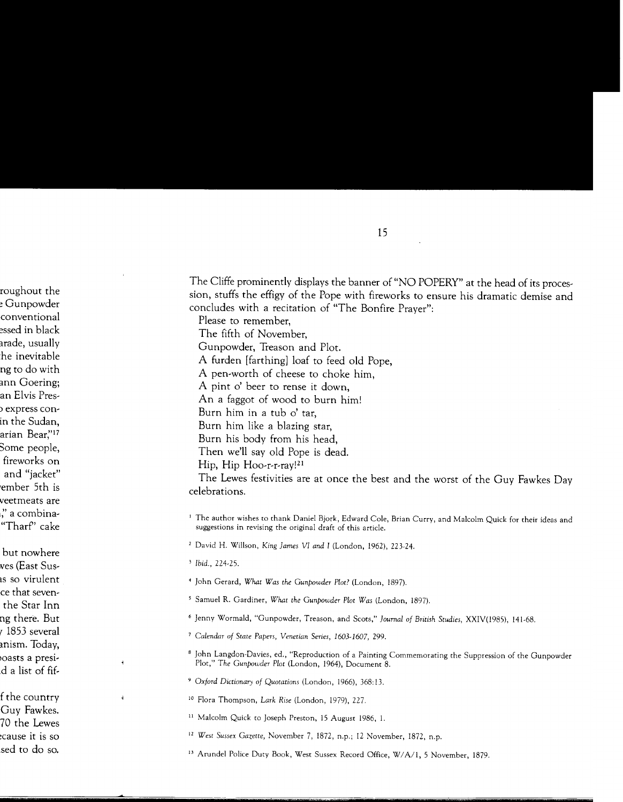The Cliffe prominently displays the banner of "NO POPERY" at the head of its procession, stuffs the effigy of the Pope with fireworks to ensure his dramatic demise and concludes with a recitation of "The Bonfire Prayer":

Please to remember, The fifth of November, Gunpowder, Treason and Plot. A furden [farthing] loaf to feed old Pope, A pen-worth of cheese to choke him, A pint o' beer to rense it down, An a faggot of wood to burn him! Burn him in a tub o' tar, Burn him like a blazing star, Burn his body from his head, Then we'll say old Pope is dead. Hip, Hip Hoo-r-r-ray!21

The Lewes festivities are at once the best and the worst of the Guy Fawkes Day celebrations.

- <sup>1</sup> The author wishes to thank Daniel Bjork, Edward Cole, Brian Curry, and Malcolm Quick for their ideas and suggestions in revising the original draft of this article.
- 2 David H. Willson, *King James VI and I* (London, 1962), 223-24.

- *<sup>4</sup>*John Gerard, *What Was the Gunpowder Plot?* (London, 1897).
- 5 Samuel R. Gardiner, *What the Gunpowder Plot Was* (London, 1897).
- 6 Jenny Wormald, "Gunpowder, Treason, and Scots," *Journal of British Studies,* XXIV(l985), 141-68.
- <sup>7</sup>*Calendar of State Papers, Venetian Series, 1603-1607,* 299.
- 8 John Langdon-Davies, ed., "Reproduction of a Painting Commemorating the Suppression of the Gunpowder Plot," The Gunpowder Plot (London, 1964), Document 8.
- <sup>9</sup>*Oxford Dictionary of Quotations* (London, 1966), 368:13.
- 1 ° Flora Thompson, *Lark Rise* (London, 1979), 227.
- <sup>11</sup> Malcolm Quick to Joseph Preston, 15 August 1986, 1.
- <sup>12</sup> West Sussex Gazette, November 7, 1872, n.p.; 12 November, 1872, n.p.
- 13 Arundel Police Duty Book, West Sussex Record Office, W/A/1, 5 November, 1879.

<sup>3</sup>*Ibid.,* 224-25.